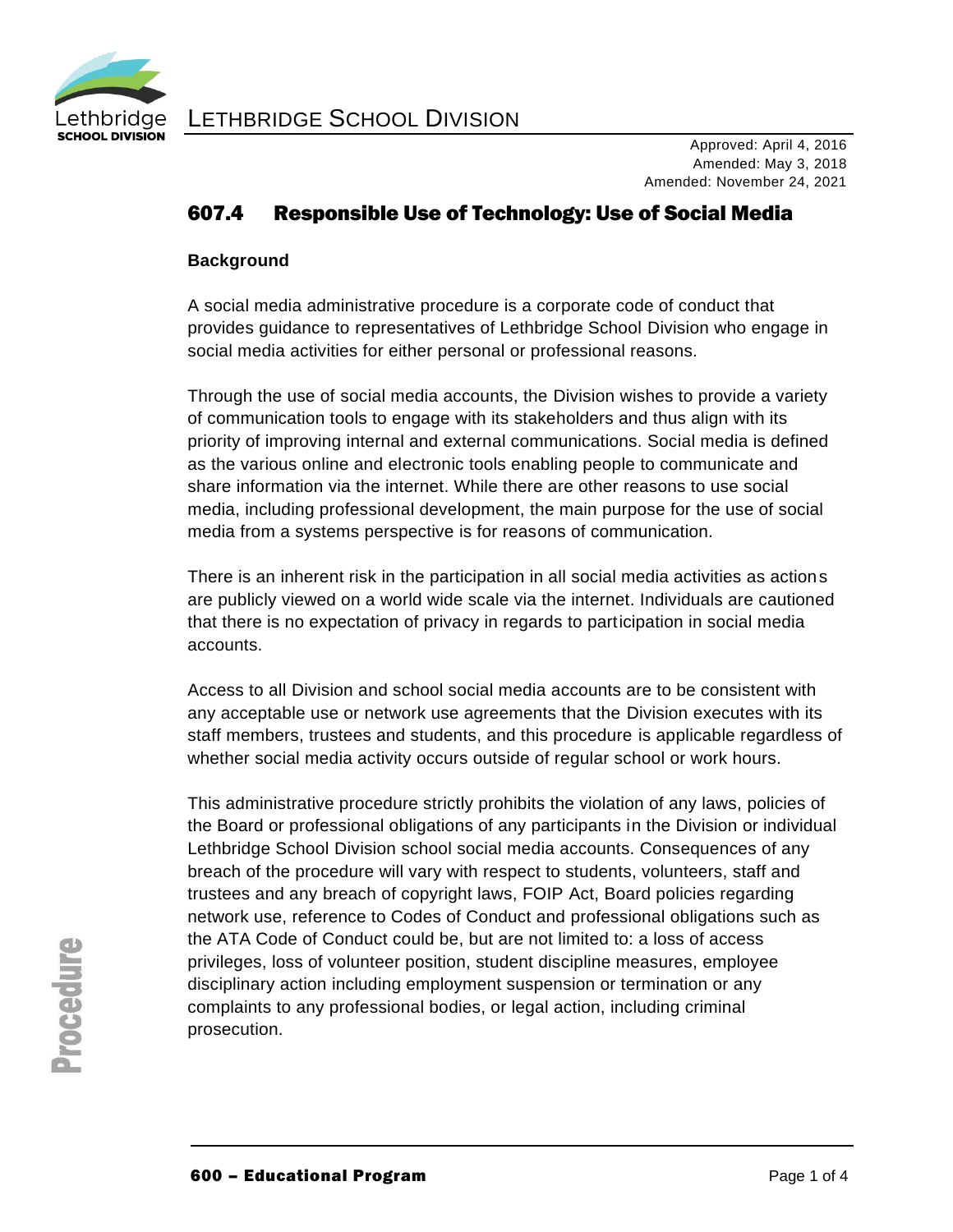

LETHBRIDGE SCHOOL DIVISION

## 607.4 Responsible Use of Technology: Use of Social Media

#### **Background**

A social media administrative procedure is a corporate code of conduct that provides guidance to representatives of Lethbridge School Division who engage in social media activities for either personal or professional reasons.

Through the use of social media accounts, the Division wishes to provide a variety of communication tools to engage with its stakeholders and thus align with its priority of improving internal and external communications. Social media is defined as the various online and electronic tools enabling people to communicate and share information via the internet. While there are other reasons to use social media, including professional development, the main purpose for the use of social media from a systems perspective is for reasons of communication.

There is an inherent risk in the participation in all social media activities as actions are publicly viewed on a world wide scale via the internet. Individuals are cautioned that there is no expectation of privacy in regards to participation in social media accounts.

Access to all Division and school social media accounts are to be consistent with any acceptable use or network use agreements that the Division executes with its staff members, trustees and students, and this procedure is applicable regardless of whether social media activity occurs outside of regular school or work hours.

This administrative procedure strictly prohibits the violation of any laws, policies of the Board or professional obligations of any participants in the Division or individual Lethbridge School Division school social media accounts. Consequences of any breach of the procedure will vary with respect to students, volunteers, staff and trustees and any breach of copyright laws, FOIP Act, Board policies regarding network use, reference to Codes of Conduct and professional obligations such as the ATA Code of Conduct could be, but are not limited to: a loss of access privileges, loss of volunteer position, student discipline measures, employee disciplinary action including employment suspension or termination or any complaints to any professional bodies, or legal action, including criminal prosecution.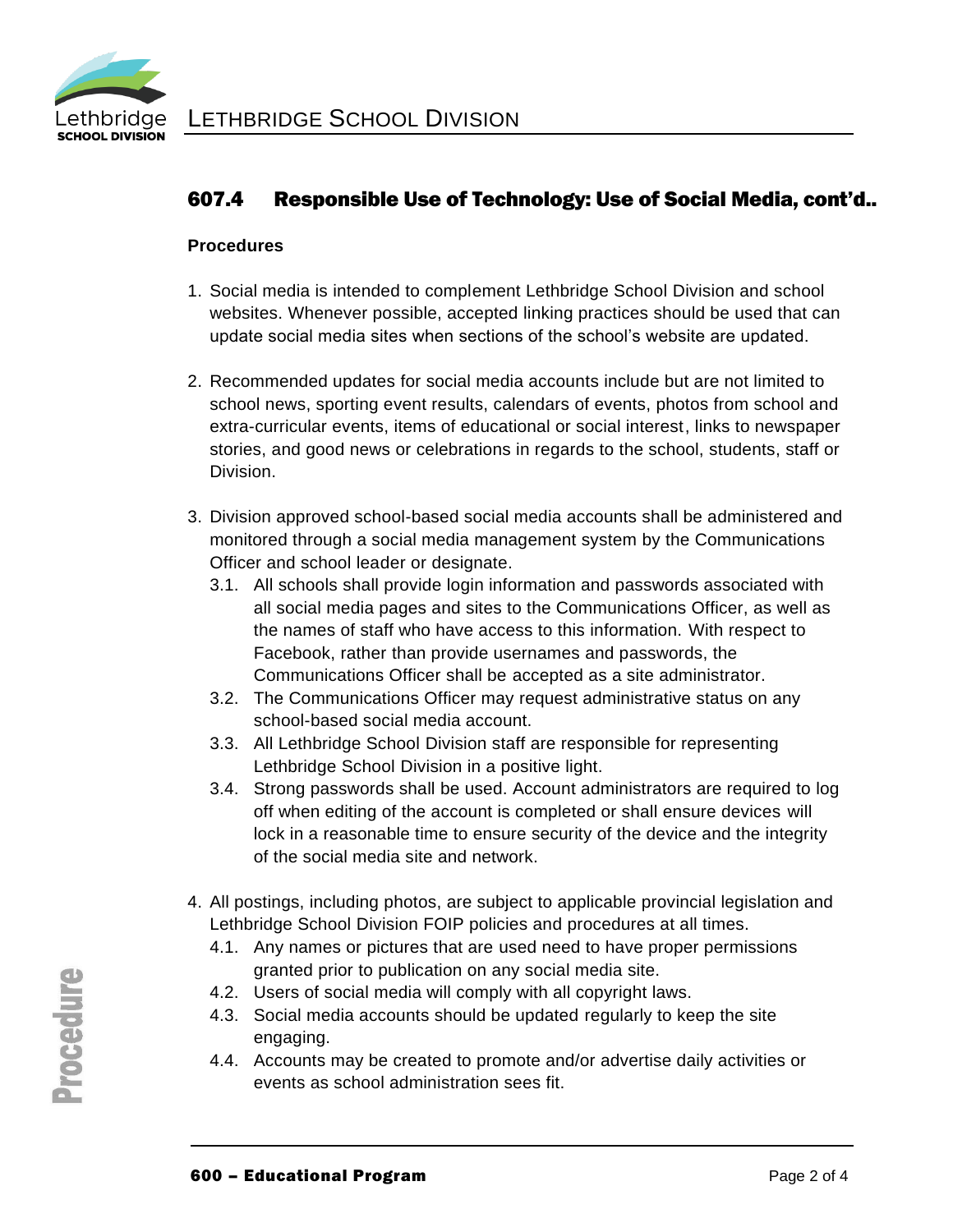

# 607.4 Responsible Use of Technology: Use of Social Media, cont'd..

### **Procedures**

- 1. Social media is intended to complement Lethbridge School Division and school websites. Whenever possible, accepted linking practices should be used that can update social media sites when sections of the school's website are updated.
- 2. Recommended updates for social media accounts include but are not limited to school news, sporting event results, calendars of events, photos from school and extra-curricular events, items of educational or social interest, links to newspaper stories, and good news or celebrations in regards to the school, students, staff or Division.
- 3. Division approved school-based social media accounts shall be administered and monitored through a social media management system by the Communications Officer and school leader or designate.
	- 3.1. All schools shall provide login information and passwords associated with all social media pages and sites to the Communications Officer, as well as the names of staff who have access to this information. With respect to Facebook, rather than provide usernames and passwords, the Communications Officer shall be accepted as a site administrator.
	- 3.2. The Communications Officer may request administrative status on any school-based social media account.
	- 3.3. All Lethbridge School Division staff are responsible for representing Lethbridge School Division in a positive light.
	- 3.4. Strong passwords shall be used. Account administrators are required to log off when editing of the account is completed or shall ensure devices will lock in a reasonable time to ensure security of the device and the integrity of the social media site and network.
- 4. All postings, including photos, are subject to applicable provincial legislation and Lethbridge School Division FOIP policies and procedures at all times.
	- 4.1. Any names or pictures that are used need to have proper permissions granted prior to publication on any social media site.
	- 4.2. Users of social media will comply with all copyright laws.
	- 4.3. Social media accounts should be updated regularly to keep the site engaging.
	- 4.4. Accounts may be created to promote and/or advertise daily activities or events as school administration sees fit.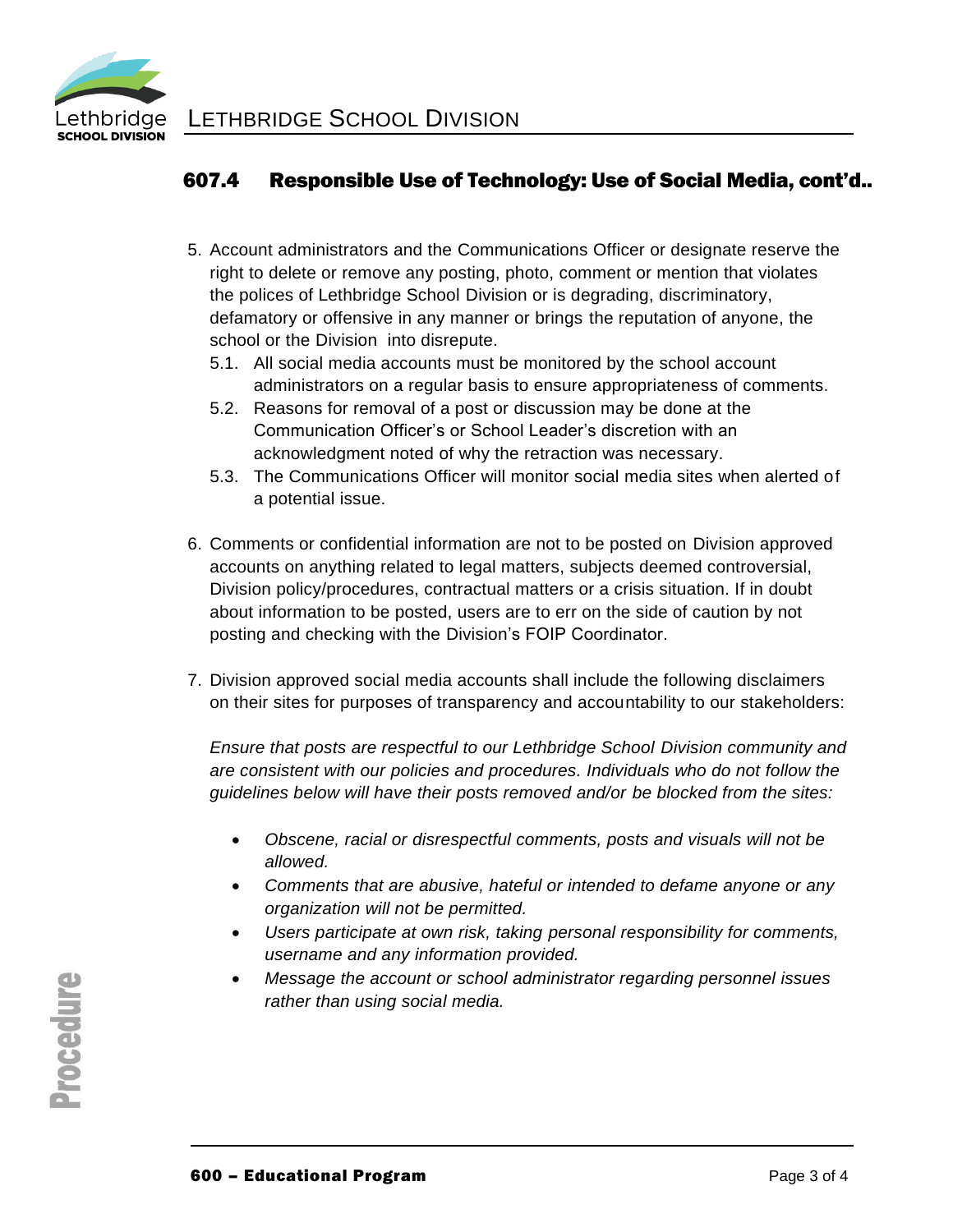

# 607.4 Responsible Use of Technology: Use of Social Media, cont'd..

- 5. Account administrators and the Communications Officer or designate reserve the right to delete or remove any posting, photo, comment or mention that violates the polices of Lethbridge School Division or is degrading, discriminatory, defamatory or offensive in any manner or brings the reputation of anyone, the school or the Division into disrepute.
	- 5.1. All social media accounts must be monitored by the school account administrators on a regular basis to ensure appropriateness of comments.
	- 5.2. Reasons for removal of a post or discussion may be done at the Communication Officer's or School Leader's discretion with an acknowledgment noted of why the retraction was necessary.
	- 5.3. The Communications Officer will monitor social media sites when alerted of a potential issue.
- 6. Comments or confidential information are not to be posted on Division approved accounts on anything related to legal matters, subjects deemed controversial, Division policy/procedures, contractual matters or a crisis situation. If in doubt about information to be posted, users are to err on the side of caution by not posting and checking with the Division's FOIP Coordinator.
- 7. Division approved social media accounts shall include the following disclaimers on their sites for purposes of transparency and accountability to our stakeholders:

*Ensure that posts are respectful to our Lethbridge School Division community and are consistent with our policies and procedures. Individuals who do not follow the guidelines below will have their posts removed and/or be blocked from the sites:*

- *Obscene, racial or disrespectful comments, posts and visuals will not be allowed.*
- *Comments that are abusive, hateful or intended to defame anyone or any organization will not be permitted.*
- *Users participate at own risk, taking personal responsibility for comments, username and any information provided.*
- *Message the account or school administrator regarding personnel issues rather than using social media.*